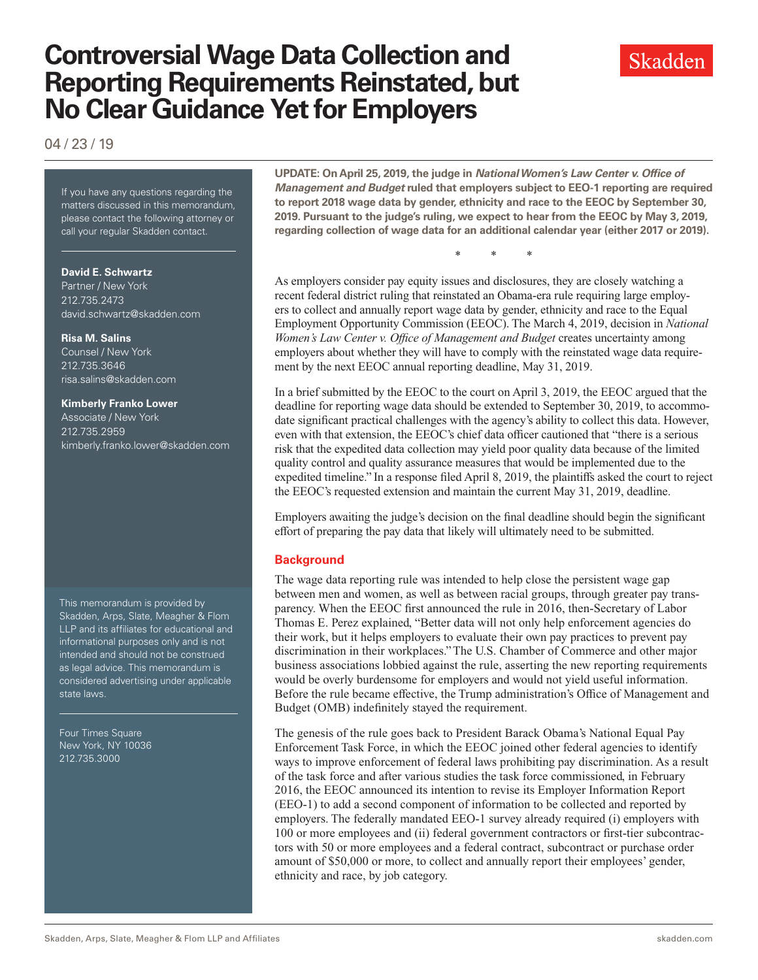# **Controversial Wage Data Collection and Reporting Requirements Reinstated, but No Clear Guidance Yet for Employers**

04 / 23 / 19

If you have any questions regarding If you have any questions regarding the matters discussed in this memorandum, please contact the following attorney or call your regular Skadden contact.

#### **David E. Schwartz**

Partner / New York 212.735.2473 david.schwartz@skadden.com

## **Risa M. Salins**

Counsel / New York 212.735.3646 risa.salins@skadden.com

#### **Kimberly Franko Lower**

Associate / New York 212.735.2959 kimberly.franko.lower@skadden.com

This memorandum is provided by Skadden, Arps, Slate, Meagher & Flom LLP and its affiliates for educational and informational purposes only and is not intended and should not be construed as legal advice. This memorandum is considered advertising under applicable state laws.

Four Times Square New York, NY 10036 212.735.3000

**UPDATE: On April 25, 2019, the judge in** *National Women's Law Center v. Office of Management and Budget* **ruled that employers subject to EEO-1 reporting are required to report 2018 wage data by gender, ethnicity and race to the EEOC by September 30, 2019. Pursuant to the judge's ruling, we expect to hear from the EEOC by May 3, 2019, regarding collection of wage data for an additional calendar year (either 2017 or 2019).**

\* \* \*

As employers consider pay equity issues and disclosures, they are closely watching a recent federal district ruling that reinstated an Obama-era rule requiring large employers to collect and annually report wage data by gender, ethnicity and race to the Equal Employment Opportunity Commission (EEOC). The March 4, 2019, decision in *National Women's Law Center v. Office of Management and Budget* creates uncertainty among employers about whether they will have to comply with the reinstated wage data requirement by the next EEOC annual reporting deadline, May 31, 2019.

In a brief submitted by the EEOC to the court on April 3, 2019, the EEOC argued that the deadline for reporting wage data should be extended to September 30, 2019, to accommodate significant practical challenges with the agency's ability to collect this data. However, even with that extension, the EEOC's chief data officer cautioned that "there is a serious risk that the expedited data collection may yield poor quality data because of the limited quality control and quality assurance measures that would be implemented due to the expedited timeline." In a response filed April 8, 2019, the plaintiffs asked the court to reject the EEOC's requested extension and maintain the current May 31, 2019, deadline.

Employers awaiting the judge's decision on the final deadline should begin the significant effort of preparing the pay data that likely will ultimately need to be submitted.

### **Background**

The wage data reporting rule was intended to help close the persistent wage gap between men and women, as well as between racial groups, through greater pay transparency. When the EEOC first announced the rule in 2016, then-Secretary of Labor Thomas E. Perez explained, "Better data will not only help enforcement agencies do their work, but it helps employers to evaluate their own pay practices to prevent pay discrimination in their workplaces." The U.S. Chamber of Commerce and other major business associations lobbied against the rule, asserting the new reporting requirements would be overly burdensome for employers and would not yield useful information. Before the rule became effective, the Trump administration's Office of Management and Budget (OMB) indefinitely stayed the requirement.

The genesis of the rule goes back to President Barack Obama's National Equal Pay Enforcement Task Force, in which the EEOC joined other federal agencies to identify ways to improve enforcement of federal laws prohibiting pay discrimination. As a result of the task force and after various studies the task force commissioned, in February 2016, the EEOC announced its intention to revise its Employer Information Report (EEO-1) to add a second component of information to be collected and reported by employers. The federally mandated EEO-1 survey already required (i) employers with 100 or more employees and (ii) federal government contractors or first-tier subcontractors with 50 or more employees and a federal contract, subcontract or purchase order amount of \$50,000 or more, to collect and annually report their employees' gender, ethnicity and race, by job category.